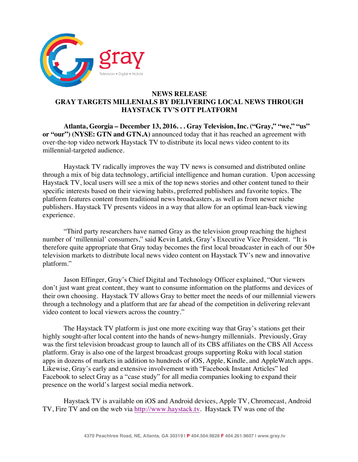

## **NEWS RELEASE GRAY TARGETS MILLENIALS BY DELIVERING LOCAL NEWS THROUGH HAYSTACK TV'S OTT PLATFORM**

**Atlanta, Georgia – December 13, 2016. . . Gray Television, Inc. ("Gray," "we," "us" or "our") (NYSE: GTN and GTN.A)** announced today that it has reached an agreement with over-the-top video network Haystack TV to distribute its local news video content to its millennial-targeted audience.

Haystack TV radically improves the way TV news is consumed and distributed online through a mix of big data technology, artificial intelligence and human curation. Upon accessing Haystack TV, local users will see a mix of the top news stories and other content tuned to their specific interests based on their viewing habits, preferred publishers and favorite topics. The platform features content from traditional news broadcasters, as well as from newer niche publishers. Haystack TV presents videos in a way that allow for an optimal lean-back viewing experience.

"Third party researchers have named Gray as the television group reaching the highest number of 'millennial' consumers," said Kevin Latek, Gray's Executive Vice President. "It is therefore quite appropriate that Gray today becomes the first local broadcaster in each of our 50+ television markets to distribute local news video content on Haystack TV's new and innovative platform."

Jason Effinger, Gray's Chief Digital and Technology Officer explained, "Our viewers don't just want great content, they want to consume information on the platforms and devices of their own choosing. Haystack TV allows Gray to better meet the needs of our millennial viewers through a technology and a platform that are far ahead of the competition in delivering relevant video content to local viewers across the country."

The Haystack TV platform is just one more exciting way that Gray's stations get their highly sought-after local content into the hands of news-hungry millennials. Previously, Gray was the first television broadcast group to launch all of its CBS affiliates on the CBS All Access platform. Gray is also one of the largest broadcast groups supporting Roku with local station apps in dozens of markets in addition to hundreds of iOS, Apple, Kindle, and AppleWatch apps. Likewise, Gray's early and extensive involvement with "Facebook Instant Articles" led Facebook to select Gray as a "case study" for all media companies looking to expand their presence on the world's largest social media network.

Haystack TV is available on iOS and Android devices, Apple TV, Chromecast, Android TV, Fire TV and on the web via http://www.haystack.tv. Haystack TV was one of the